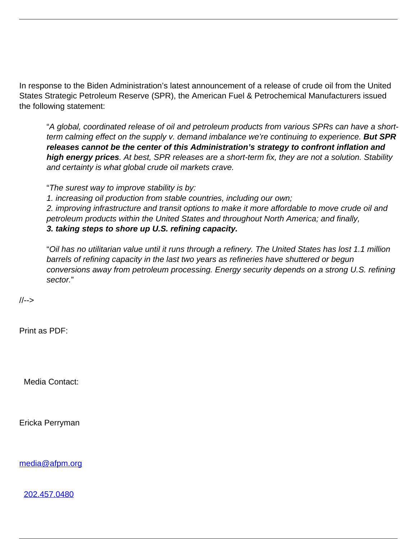In response to the Biden Administration's latest announcement of a release of crude oil from the United States Strategic Petroleum Reserve (SPR), the American Fuel & Petrochemical Manufacturers issued the following statement:

"A global, coordinated release of oil and petroleum products from various SPRs can have a shortterm calming effect on the supply v. demand imbalance we're continuing to experience. **But SPR releases cannot be the center of this Administration's strategy to confront inflation and high energy prices**. At best, SPR releases are a short-term fix, they are not a solution. Stability and certainty is what global crude oil markets crave.

"The surest way to improve stability is by:

1. increasing oil production from stable countries, including our own;

2. improving infrastructure and transit options to make it more affordable to move crude oil and petroleum products within the United States and throughout North America; and finally, **3. taking steps to shore up U.S. refining capacity.**

"Oil has no utilitarian value until it runs through a refinery. The United States has lost 1.1 million barrels of refining capacity in the last two years as refineries have shuttered or begun conversions away from petroleum processing. Energy security depends on a strong U.S. refining sector."

//-->

Print as PDF:

Media Contact:

Ericka Perryman

[media@afpm.org](mailto:media@afpm.org)

[202.457.0480](tel:202.457.0480)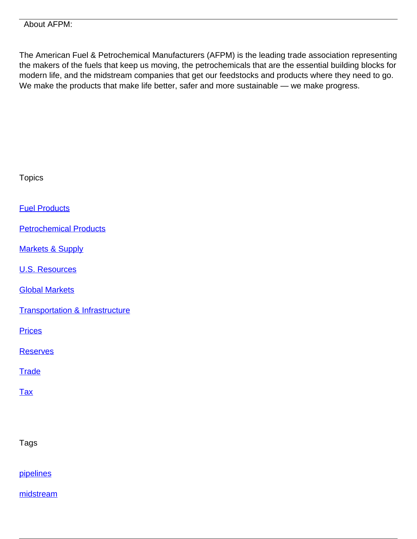The American Fuel & Petrochemical Manufacturers (AFPM) is the leading trade association representing the makers of the fuels that keep us moving, the petrochemicals that are the essential building blocks for modern life, and the midstream companies that get our feedstocks and products where they need to go. We make the products that make life better, safer and more sustainable — we make progress.

| <b>Topics</b>                              |
|--------------------------------------------|
| <b>Fuel Products</b>                       |
| <b>Petrochemical Products</b>              |
| <b>Markets &amp; Supply</b>                |
| <b>U.S. Resources</b>                      |
| <b>Global Markets</b>                      |
| <b>Transportation &amp; Infrastructure</b> |
| <b>Prices</b>                              |
| <b>Reserves</b>                            |
| <b>Trade</b>                               |
| <b>Tax</b>                                 |
|                                            |
| Tags                                       |
| pipelines                                  |

[midstream](/tag/midstream)